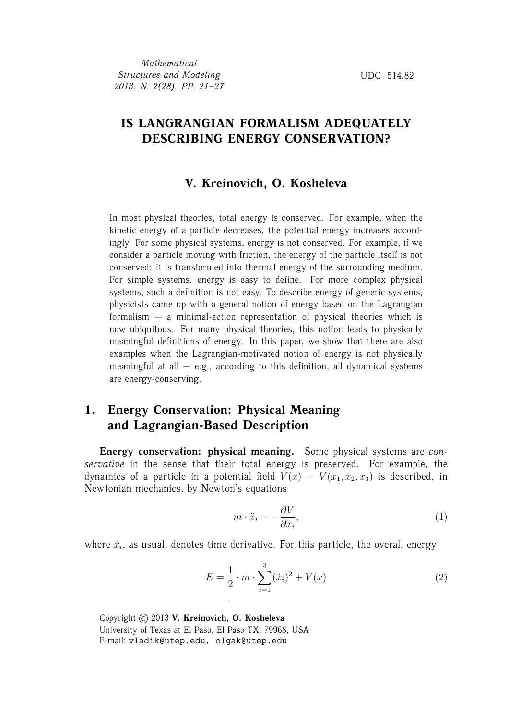## **IS LANGRANGIAN FORMALISM ADEQUATELY DESCRIBING ENERGY CONSERVATION?**

### **V. Kreinovich, O. Kosheleva**

In most physical theories, total energy is conserved. For example, when the kinetic energy of a particle decreases, the potential energy increases accordingly. For some physical systems, energy is not conserved. For example, if we consider a particle moving with friction, the energy of the particle itself is not conserved: it is transformed into thermal energy of the surrounding medium. For simple systems, energy is easy to define. For more complex physical systems, such a definition is not easy. To describe energy of generic systems, physicists came up with a general notion of energy based on the Lagrangian formalism — a minimal-action representation of physical theories which is now ubiquitous. For many physical theories, this notion leads to physically meaningful definitions of energy. In this paper, we show that there are also examples when the Lagrangian-motivated notion of energy is not physically meaningful at all  $-$  e.g., according to this definition, all dynamical systems are energy-conserving.

## **1. Energy Conservation: Physical Meaning and Lagrangian-Based Description**

**Energy conservation: physical meaning.** Some physical systems are *conservative* in the sense that their total energy is preserved. For example, the dynamics of a particle in a potential field  $V(x) = V(x_1, x_2, x_3)$  is described, in Newtonian mechanics, by Newton's equations

$$
m \cdot \ddot{x}_i = -\frac{\partial V}{\partial x_i},\tag{1}
$$

where  $\dot{x}_i$ , as usual, denotes time derivative. For this particle, the overall energy

$$
E = \frac{1}{2} \cdot m \cdot \sum_{i=1}^{3} (\dot{x}_i)^2 + V(x) \tag{2}
$$

Copyright © 2013 **V. Kreinovich, O. Kosheleva** University of Texas at El Paso, El Paso TX, 79968, USA E-mail: vladik@utep.edu, olgak@utep.edu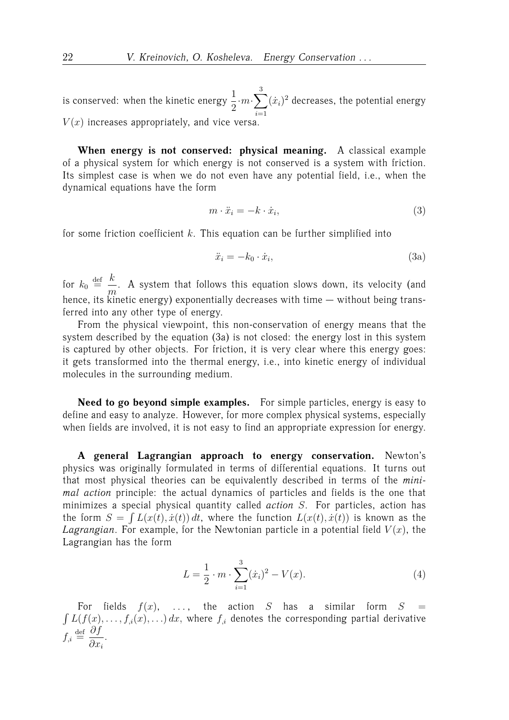is conserved: when the kinetic energy  $\frac{1}{2}$  $\cdot m \cdot \sum$ 3  $i=1$  $(x_i)^2$  decreases, the potential energy  $V(x)$  increases appropriately, and vice versa.

**When energy is not conserved: physical meaning.** A classical example of a physical system for which energy is not conserved is a system with friction. Its simplest case is when we do not even have any potential field, i.e., when the

dynamical equations have the form

$$
m \cdot \ddot{x}_i = -k \cdot \dot{x}_i,\tag{3}
$$

for some friction coefficient  $k$ . This equation can be further simplified into

$$
\ddot{x}_i = -k_0 \cdot \dot{x}_i,\tag{3a}
$$

for  $k_0 \stackrel{\text{def}}{=} \frac{k}{\sqrt{2}}$  $\frac{m}{m}$ . A system that follows this equation slows down, its velocity (and hence, its kinetic energy) exponentially decreases with time — without being transferred into any other type of energy.

From the physical viewpoint, this non-conservation of energy means that the system described by the equation (3a) is not closed: the energy lost in this system is captured by other objects. For friction, it is very clear where this energy goes: it gets transformed into the thermal energy, i.e., into kinetic energy of individual molecules in the surrounding medium.

**Need to go beyond simple examples.** For simple particles, energy is easy to define and easy to analyze. However, for more complex physical systems, especially when fields are involved, it is not easy to find an appropriate expression for energy.

**A general Lagrangian approach to energy conservation.** Newton's physics was originally formulated in terms of differential equations. It turns out that most physical theories can be equivalently described in terms of the *minimal action* principle: the actual dynamics of particles and fields is the one that minimizes a special physical quantity called *action* S. For particles, action has the form  $S = \int L(x(t), \dot{x}(t)) dt$ , where the function  $L(x(t), \dot{x}(t))$  is known as the *Lagrangian*. For example, for the Newtonian particle in a potential field  $V(x)$ , the Lagrangian has the form

$$
L = \frac{1}{2} \cdot m \cdot \sum_{i=1}^{3} (\dot{x}_i)^2 - V(x). \tag{4}
$$

For fields  $f(x)$ , ..., the action S has a similar form  $S =$  $\int L(f(x), \ldots, f_{i}(x), \ldots) dx$ , where  $f_{i}$  denotes the corresponding partial derivative  $f_{i} \stackrel{\text{def}}{=} \frac{\partial f}{\partial x}$  $\partial x_i$ .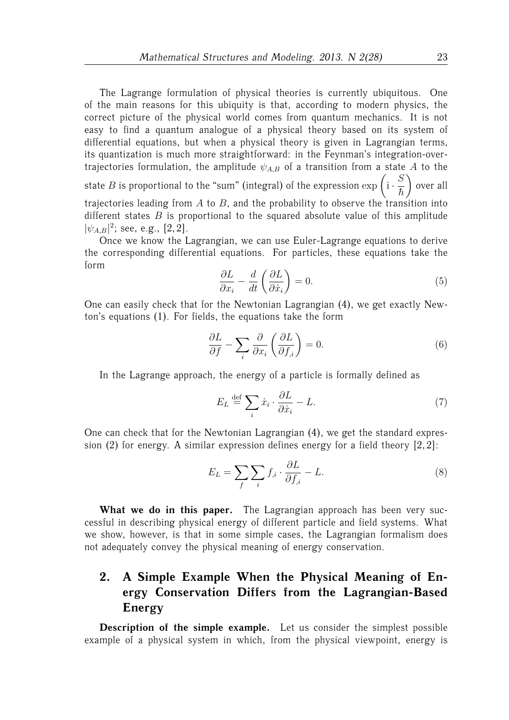The Lagrange formulation of physical theories is currently ubiquitous. One of the main reasons for this ubiquity is that, according to modern physics, the correct picture of the physical world comes from quantum mechanics. It is not easy to find a quantum analogue of a physical theory based on its system of differential equations, but when a physical theory is given in Lagrangian terms, its quantization is much more straightforward: in the Feynman's integration-overtrajectories formulation, the amplitude  $\psi_{A,B}$  of a transition from a state A to the state  $B$  is proportional to the "sum" (integral) of the expression  $\exp\left(i\cdot\frac{S}{\tau}\right)$  $\hbar$  $\setminus$ over all trajectories leading from  $A$  to  $B$ , and the probability to observe the transition into different states  $B$  is proportional to the squared absolute value of this amplitude  $|\psi_{A,B}|^2$ ; see, e.g., [2,2].

Once we know the Lagrangian, we can use Euler-Lagrange equations to derive the corresponding differential equations. For particles, these equations take the form

$$
\frac{\partial L}{\partial x_i} - \frac{d}{dt} \left( \frac{\partial L}{\partial \dot{x}_i} \right) = 0.
$$
\n(5)

One can easily check that for the Newtonian Lagrangian (4), we get exactly Newton's equations (1). For fields, the equations take the form

$$
\frac{\partial L}{\partial f} - \sum_{i} \frac{\partial}{\partial x_i} \left( \frac{\partial L}{\partial f_{,i}} \right) = 0. \tag{6}
$$

In the Lagrange approach, the energy of a particle is formally defined as

$$
E_L \stackrel{\text{def}}{=} \sum_i \dot{x}_i \cdot \frac{\partial L}{\partial \dot{x}_i} - L. \tag{7}
$$

One can check that for the Newtonian Lagrangian (4), we get the standard expression (2) for energy. A similar expression defines energy for a field theory [2, 2]:

$$
E_L = \sum_f \sum_i f_{,i} \cdot \frac{\partial L}{\partial f_{,i}} - L. \tag{8}
$$

**What we do in this paper.** The Lagrangian approach has been very successful in describing physical energy of different particle and field systems. What we show, however, is that in some simple cases, the Lagrangian formalism does not adequately convey the physical meaning of energy conservation.

# **2. A Simple Example When the Physical Meaning of Energy Conservation Differs from the Lagrangian-Based Energy**

**Description of the simple example.** Let us consider the simplest possible example of a physical system in which, from the physical viewpoint, energy is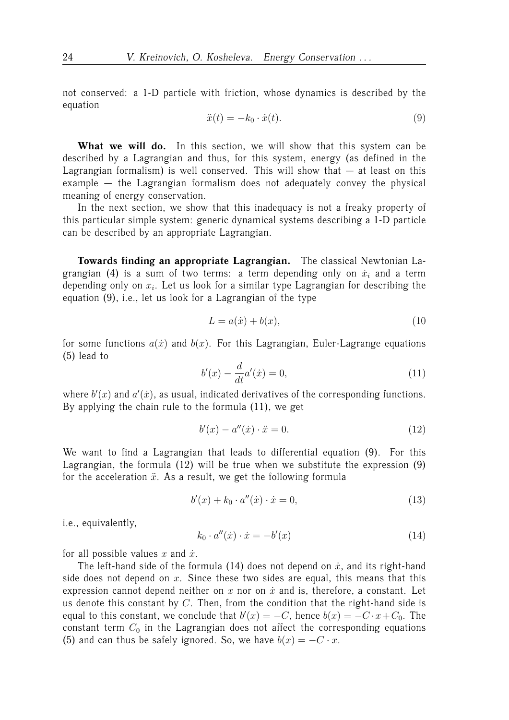not conserved: a 1-D particle with friction, whose dynamics is described by the equation

$$
\ddot{x}(t) = -k_0 \cdot \dot{x}(t). \tag{9}
$$

What we will do. In this section, we will show that this system can be described by a Lagrangian and thus, for this system, energy (as defined in the Lagrangian formalism) is well conserved. This will show that  $-$  at least on this example — the Lagrangian formalism does not adequately convey the physical meaning of energy conservation.

In the next section, we show that this inadequacy is not a freaky property of this particular simple system: generic dynamical systems describing a 1-D particle can be described by an appropriate Lagrangian.

**Towards finding an appropriate Lagrangian.** The classical Newtonian Lagrangian (4) is a sum of two terms: a term depending only on  $\dot{x}_i$  and a term depending only on  $x_i$ . Let us look for a similar type Lagrangian for describing the equation (9), i.e., let us look for a Lagrangian of the type

$$
L = a(\dot{x}) + b(x),\tag{10}
$$

for some functions  $a(x)$  and  $b(x)$ . For this Lagrangian, Euler-Lagrange equations (5) lead to

$$
b'(x) - \frac{d}{dt}a'(x) = 0,
$$
\n(11)

where  $b'(x)$  and  $a'(x)$ , as usual, indicated derivatives of the corresponding functions. By applying the chain rule to the formula (11), we get

$$
b'(x) - a''(\dot{x}) \cdot \ddot{x} = 0.
$$
 (12)

We want to find a Lagrangian that leads to differential equation (9). For this Lagrangian, the formula (12) will be true when we substitute the expression (9) for the acceleration  $\ddot{x}$ . As a result, we get the following formula

$$
b'(x) + k_0 \cdot a''(\dot{x}) \cdot \dot{x} = 0,\tag{13}
$$

i.e., equivalently,

$$
k_0 \cdot a''(\dot{x}) \cdot \dot{x} = -b'(x) \tag{14}
$$

for all possible values x and  $\dot{x}$ .

The left-hand side of the formula (14) does not depend on  $\dot{x}$ , and its right-hand side does not depend on  $x$ . Since these two sides are equal, this means that this expression cannot depend neither on  $x$  nor on  $\dot{x}$  and is, therefore, a constant. Let us denote this constant by  $C$ . Then, from the condition that the right-hand side is equal to this constant, we conclude that  $b'(x) = -C$ , hence  $b(x) = -C \cdot x + C_0$ . The constant term  $C_0$  in the Lagrangian does not affect the corresponding equations (5) and can thus be safely ignored. So, we have  $b(x) = -C \cdot x$ .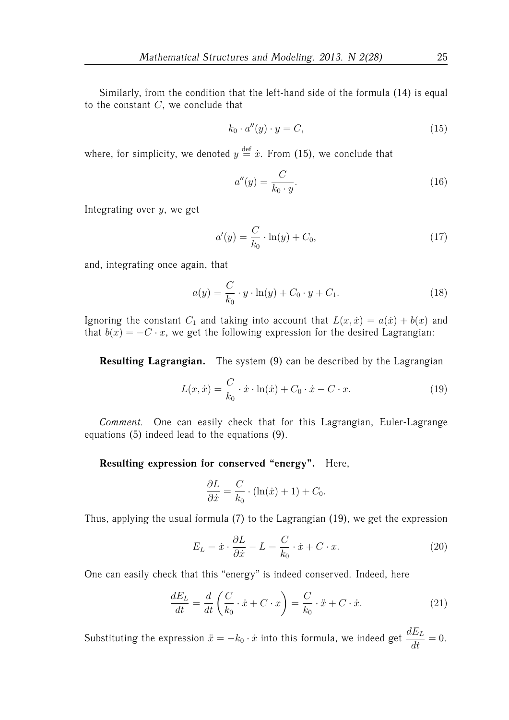Similarly, from the condition that the left-hand side of the formula (14) is equal to the constant  $C$ , we conclude that

$$
k_0 \cdot a''(y) \cdot y = C,\tag{15}
$$

where, for simplicity, we denoted  $y \stackrel{\text{def}}{=} \dot{x}$ . From (15), we conclude that

$$
a''(y) = \frac{C}{k_0 \cdot y}.\tag{16}
$$

Integrating over  $y$ , we get

$$
a'(y) = \frac{C}{k_0} \cdot \ln(y) + C_0,
$$
\n(17)

and, integrating once again, that

$$
a(y) = \frac{C}{k_0} \cdot y \cdot \ln(y) + C_0 \cdot y + C_1.
$$
 (18)

Ignoring the constant  $C_1$  and taking into account that  $L(x, \dot{x}) = a(\dot{x}) + b(x)$  and that  $b(x) = -C \cdot x$ , we get the following expression for the desired Lagrangian:

**Resulting Lagrangian.** The system (9) can be described by the Lagrangian

$$
L(x, \dot{x}) = \frac{C}{k_0} \cdot \dot{x} \cdot \ln(\dot{x}) + C_0 \cdot \dot{x} - C \cdot x.
$$
 (19)

*Comment.* One can easily check that for this Lagrangian, Euler-Lagrange equations (5) indeed lead to the equations (9).

#### **Resulting expression for conserved "energy".** Here,

$$
\frac{\partial L}{\partial \dot{x}} = \frac{C}{k_0} \cdot (\ln(\dot{x}) + 1) + C_0.
$$

Thus, applying the usual formula (7) to the Lagrangian (19), we get the expression

$$
E_L = \dot{x} \cdot \frac{\partial L}{\partial \dot{x}} - L = \frac{C}{k_0} \cdot \dot{x} + C \cdot x.
$$
 (20)

One can easily check that this "energy" is indeed conserved. Indeed, here

$$
\frac{dE_L}{dt} = \frac{d}{dt} \left( \frac{C}{k_0} \cdot \dot{x} + C \cdot x \right) = \frac{C}{k_0} \cdot \ddot{x} + C \cdot \dot{x}.
$$
 (21)

Substituting the expression  $\ddot{x} = -k_0 \cdot \dot{x}$  into this formula, we indeed get  $\displaystyle{\frac{dE_L}{dt}=0.}$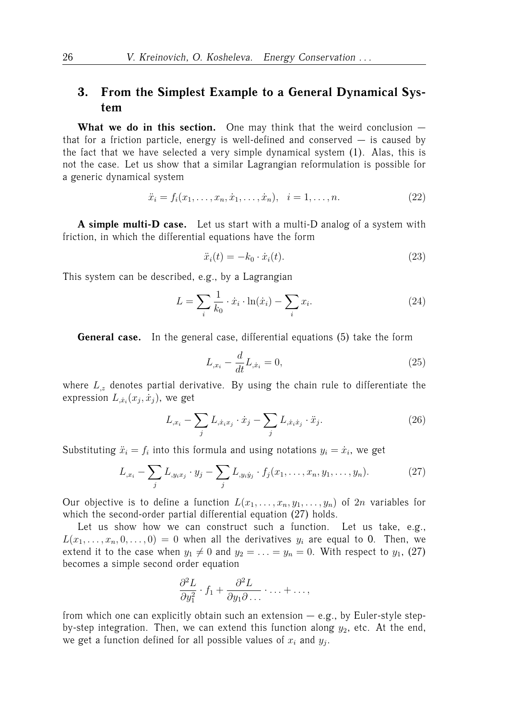## **3. From the Simplest Example to a General Dynamical System**

**What we do in this section.** One may think that the weird conclusion that for a friction particle, energy is well-defined and conserved  $-$  is caused by the fact that we have selected a very simple dynamical system (1). Alas, this is not the case. Let us show that a similar Lagrangian reformulation is possible for a generic dynamical system

$$
\ddot{x}_i = f_i(x_1, \dots, x_n, \dot{x}_1, \dots, \dot{x}_n), \quad i = 1, \dots, n. \tag{22}
$$

**A simple multi-D case.** Let us start with a multi-D analog of a system with friction, in which the differential equations have the form

$$
\ddot{x}_i(t) = -k_0 \cdot \dot{x}_i(t). \tag{23}
$$

This system can be described, e.g., by a Lagrangian

$$
L = \sum_{i} \frac{1}{k_0} \cdot \dot{x}_i \cdot \ln(\dot{x}_i) - \sum_{i} x_i.
$$
 (24)

**General case.** In the general case, differential equations (5) take the form

$$
L_{,x_i} - \frac{d}{dt} L_{,\dot{x}_i} = 0,\t\t(25)
$$

where  $L_z$  denotes partial derivative. By using the chain rule to differentiate the expression  $L_{\dot{x}_i}(x_j, \dot{x}_j)$ , we get

$$
L_{,x_i} - \sum_j L_{,\dot{x}_i x_j} \cdot \dot{x}_j - \sum_j L_{,\dot{x}_i \dot{x}_j} \cdot \ddot{x}_j. \tag{26}
$$

Substituting  $\ddot{x}_i = f_i$  into this formula and using notations  $y_i = \dot{x}_i$ , we get

$$
L_{,x_i} - \sum_j L_{,y_ix_j} \cdot y_j - \sum_j L_{,y_iy_j} \cdot f_j(x_1, \dots, x_n, y_1, \dots, y_n).
$$
 (27)

Our objective is to define a function  $L(x_1, \ldots, x_n, y_1, \ldots, y_n)$  of  $2n$  variables for which the second-order partial differential equation (27) holds.

Let us show how we can construct such a function. Let us take, e.g.,  $L(x_1, \ldots, x_n, 0, \ldots, 0) = 0$  when all the derivatives  $y_i$  are equal to 0. Then, we extend it to the case when  $y_1 \neq 0$  and  $y_2 = \ldots = y_n = 0$ . With respect to  $y_1$ , (27) becomes a simple second order equation

$$
\frac{\partial^2 L}{\partial y_1^2} \cdot f_1 + \frac{\partial^2 L}{\partial y_1 \partial \dots} \cdot \dots + \dots,
$$

from which one can explicitly obtain such an extension  $-$  e.g., by Euler-style stepby-step integration. Then, we can extend this function along  $y_2$ , etc. At the end, we get a function defined for all possible values of  $x_i$  and  $y_j$ .